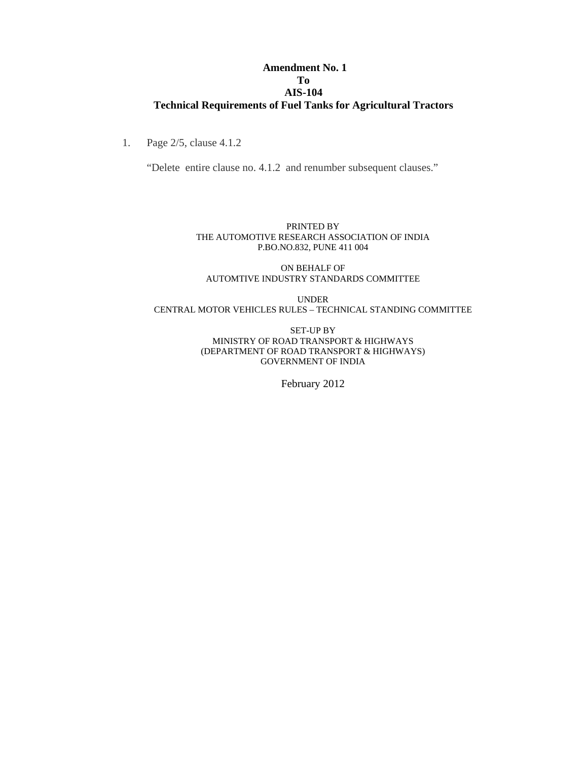#### **Amendment No. 1 To AIS-104 Technical Requirements of Fuel Tanks for Agricultural Tractors**

1. Page 2/5, clause 4.1.2

"Delete entire clause no. 4.1.2 and renumber subsequent clauses."

#### PRINTED BY THE AUTOMOTIVE RESEARCH ASSOCIATION OF INDIA P.BO.NO.832, PUNE 411 004

ON BEHALF OF AUTOMTIVE INDUSTRY STANDARDS COMMITTEE

UNDER CENTRAL MOTOR VEHICLES RULES – TECHNICAL STANDING COMMITTEE

> SET-UP BY MINISTRY OF ROAD TRANSPORT & HIGHWAYS (DEPARTMENT OF ROAD TRANSPORT & HIGHWAYS) GOVERNMENT OF INDIA

> > February 2012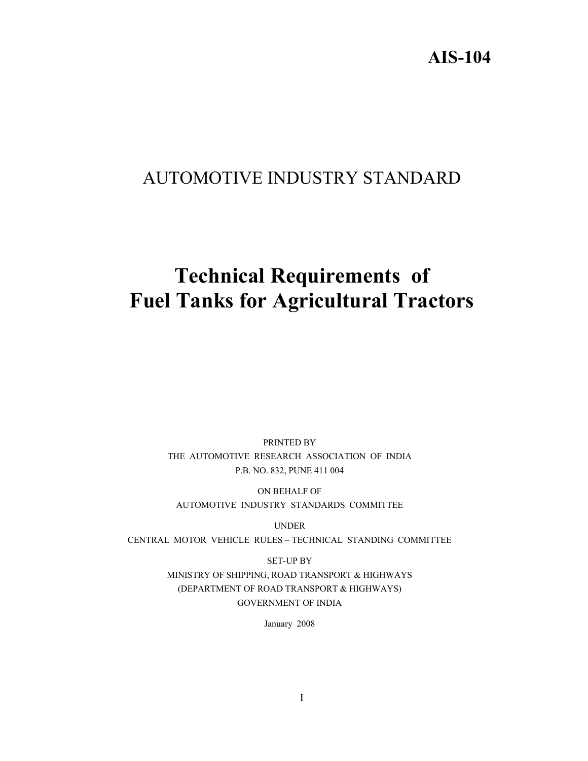## **AIS-104**

## AUTOMOTIVE INDUSTRY STANDARD

# **Technical Requirements of Fuel Tanks for Agricultural Tractors**

PRINTED BY THE AUTOMOTIVE RESEARCH ASSOCIATION OF INDIA P.B. NO. 832, PUNE 411 004

ON BEHALF OF AUTOMOTIVE INDUSTRY STANDARDS COMMITTEE

UNDER CENTRAL MOTOR VEHICLE RULES – TECHNICAL STANDING COMMITTEE

> SET-UP BY MINISTRY OF SHIPPING, ROAD TRANSPORT & HIGHWAYS (DEPARTMENT OF ROAD TRANSPORT & HIGHWAYS) GOVERNMENT OF INDIA

> > January 2008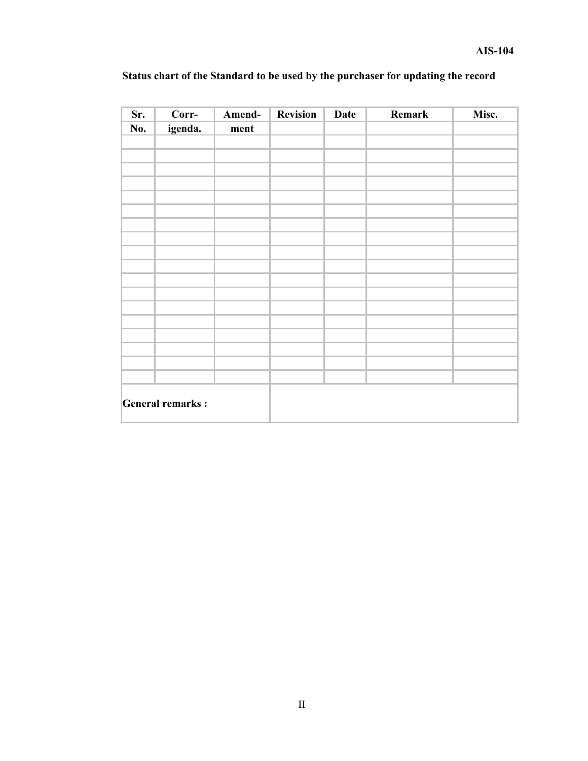| Sr.                     | Corr-   | Amend- | <b>Revision</b> | <b>Date</b> | Remark | Misc. |
|-------------------------|---------|--------|-----------------|-------------|--------|-------|
| No.                     | igenda. | ment   |                 |             |        |       |
|                         |         |        |                 |             |        |       |
|                         |         |        |                 |             |        |       |
|                         |         |        |                 |             |        |       |
|                         |         |        |                 |             |        |       |
|                         |         |        |                 |             |        |       |
|                         |         |        |                 |             |        |       |
|                         |         |        |                 |             |        |       |
|                         |         |        |                 |             |        |       |
|                         |         |        |                 |             |        |       |
|                         |         |        |                 |             |        |       |
|                         |         |        |                 |             |        |       |
|                         |         |        |                 |             |        |       |
|                         |         |        |                 |             |        |       |
|                         |         |        |                 |             |        |       |
|                         |         |        |                 |             |        |       |
|                         |         |        |                 |             |        |       |
|                         |         |        |                 |             |        |       |
|                         |         |        |                 |             |        |       |
| <b>General remarks:</b> |         |        |                 |             |        |       |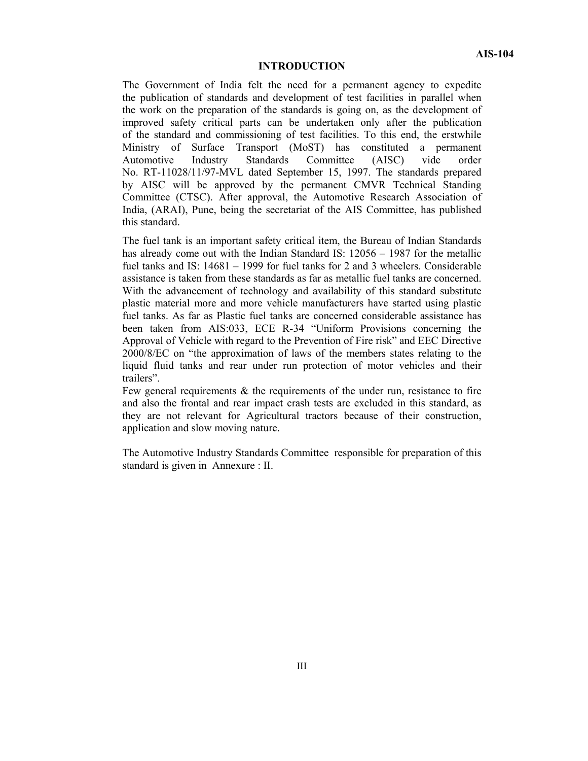#### **INTRODUCTION**

The Government of India felt the need for a permanent agency to expedite the publication of standards and development of test facilities in parallel when the work on the preparation of the standards is going on, as the development of improved safety critical parts can be undertaken only after the publication of the standard and commissioning of test facilities. To this end, the erstwhile Ministry of Surface Transport (MoST) has constituted a permanent Automotive Industry Standards Committee (AISC) vide order No. RT-11028/11/97-MVL dated September 15, 1997. The standards prepared by AISC will be approved by the permanent CMVR Technical Standing Committee (CTSC). After approval, the Automotive Research Association of India, (ARAI), Pune, being the secretariat of the AIS Committee, has published this standard.

The fuel tank is an important safety critical item, the Bureau of Indian Standards has already come out with the Indian Standard IS:  $12056 - 1987$  for the metallic fuel tanks and IS: 14681 – 1999 for fuel tanks for 2 and 3 wheelers. Considerable assistance is taken from these standards as far as metallic fuel tanks are concerned. With the advancement of technology and availability of this standard substitute plastic material more and more vehicle manufacturers have started using plastic fuel tanks. As far as Plastic fuel tanks are concerned considerable assistance has been taken from AIS:033, ECE R-34 "Uniform Provisions concerning the Approval of Vehicle with regard to the Prevention of Fire risk" and EEC Directive 2000/8/EC on "the approximation of laws of the members states relating to the liquid fluid tanks and rear under run protection of motor vehicles and their trailers".

Few general requirements  $\&$  the requirements of the under run, resistance to fire and also the frontal and rear impact crash tests are excluded in this standard, as they are not relevant for Agricultural tractors because of their construction, application and slow moving nature.

The Automotive Industry Standards Committee responsible for preparation of this standard is given in Annexure : II.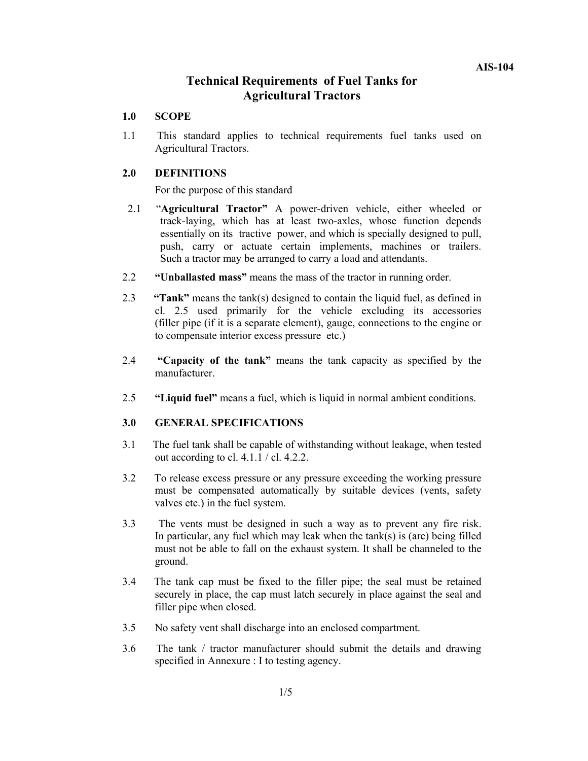#### **Technical Requirements of Fuel Tanks for Agricultural Tractors**

#### **1.0 SCOPE**

1.1 This standard applies to technical requirements fuel tanks used on Agricultural Tractors.

#### **2.0 DEFINITIONS**

For the purpose of this standard

- 2.1 "**Agricultural Tractor"** A power-driven vehicle, either wheeled or track-laying, which has at least two-axles, whose function depends essentially on its tractive power, and which is specially designed to pull, push, carry or actuate certain implements, machines or trailers. Such a tractor may be arranged to carry a load and attendants.
- 2.2 **"Unballasted mass"** means the mass of the tractor in running order.
- 2.3 **"Tank"** means the tank(s) designed to contain the liquid fuel, as defined in cl. 2.5 used primarily for the vehicle excluding its accessories (filler pipe (if it is a separate element), gauge, connections to the engine or to compensate interior excess pressure etc.)
- 2.4 **"Capacity of the tank"** means the tank capacity as specified by the manufacturer.
- 2.5 **"Liquid fuel"** means a fuel, which is liquid in normal ambient conditions.

#### **3.0 GENERAL SPECIFICATIONS**

- 3.1 The fuel tank shall be capable of withstanding without leakage, when tested out according to cl. 4.1. $\overline{1}$  / cl. 4.2.2.
- 3.2 To release excess pressure or any pressure exceeding the working pressure must be compensated automatically by suitable devices (vents, safety valves etc.) in the fuel system.
- 3.3 The vents must be designed in such a way as to prevent any fire risk. In particular, any fuel which may leak when the tank(s) is (are) being filled must not be able to fall on the exhaust system. It shall be channeled to the ground.
- 3.4The tank cap must be fixed to the filler pipe; the seal must be retained securely in place, the cap must latch securely in place against the seal and filler pipe when closed.
- 3.5 No safety vent shall discharge into an enclosed compartment.
- 3.6 The tank / tractor manufacturer should submit the details and drawing specified in Annexure : I to testing agency.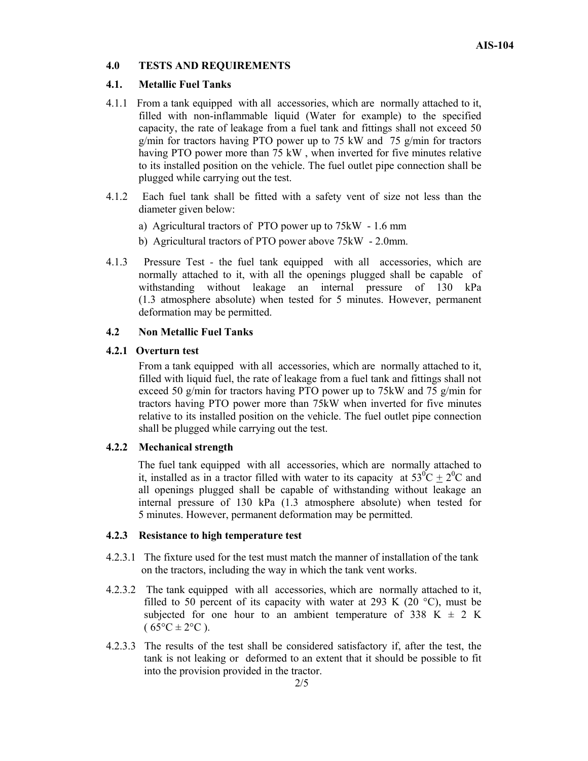#### **4.0 TESTS AND REQUIREMENTS**

#### **4.1. Metallic Fuel Tanks**

- 4.1.1 From a tank equipped with all accessories, which are normally attached to it, filled with non-inflammable liquid (Water for example) to the specified capacity, the rate of leakage from a fuel tank and fittings shall not exceed 50 g/min for tractors having PTO power up to 75 kW and 75 g/min for tractors having PTO power more than 75 kW , when inverted for five minutes relative to its installed position on the vehicle. The fuel outlet pipe connection shall be plugged while carrying out the test.
- 4.1.2 Each fuel tank shall be fitted with a safety vent of size not less than the diameter given below:
	- a) Agricultural tractors of PTO power up to 75kW 1.6 mm
	- b) Agricultural tractors of PTO power above 75kW 2.0mm.
- 4.1.3 Pressure Test the fuel tank equipped with all accessories, which are normally attached to it, with all the openings plugged shall be capable of withstanding without leakage an internal pressure of 130 kPa (1.3 atmosphere absolute) when tested for 5 minutes. However, permanent deformation may be permitted.

#### **4.2 Non Metallic Fuel Tanks**

#### **4.2.1 Overturn test**

From a tank equipped with all accessories, which are normally attached to it, filled with liquid fuel, the rate of leakage from a fuel tank and fittings shall not exceed 50 g/min for tractors having PTO power up to 75kW and 75 g/min for tractors having PTO power more than 75kW when inverted for five minutes relative to its installed position on the vehicle. The fuel outlet pipe connection shall be plugged while carrying out the test.

#### **4.2.2 Mechanical strength**

The fuel tank equipped with all accessories, which are normally attached to it, installed as in a tractor filled with water to its capacity at  $53^{\circ}C + 2^{\circ}C$  and all openings plugged shall be capable of withstanding without leakage an internal pressure of 130 kPa (1.3 atmosphere absolute) when tested for 5 minutes. However, permanent deformation may be permitted.

#### **4.2.3 Resistance to high temperature test**

- 4.2.3.1 The fixture used for the test must match the manner of installation of the tank on the tractors, including the way in which the tank vent works.
- 4.2.3.2 The tank equipped with all accessories, which are normally attached to it, filled to 50 percent of its capacity with water at 293 K (20 $\degree$ C), must be subjected for one hour to an ambient temperature of 338 K  $\pm$  2 K  $(65^{\circ}C \pm 2^{\circ}C)$ .
- 4.2.3.3 The results of the test shall be considered satisfactory if, after the test, the tank is not leaking or deformed to an extent that it should be possible to fit into the provision provided in the tractor.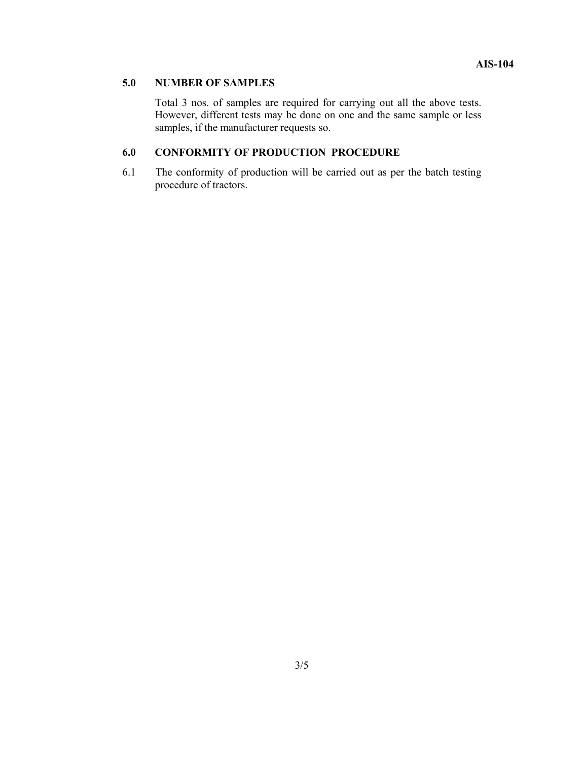#### **5.0 NUMBER OF SAMPLES**

Total 3 nos. of samples are required for carrying out all the above tests. However, different tests may be done on one and the same sample or less samples, if the manufacturer requests so.

#### **6.0 CONFORMITY OF PRODUCTION PROCEDURE**

6.1 The conformity of production will be carried out as per the batch testing procedure of tractors.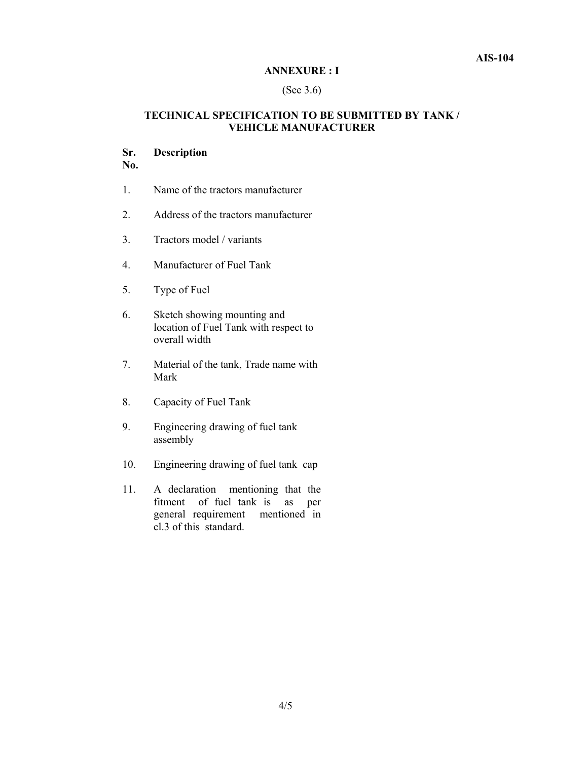#### **ANNEXURE : I**

#### (See 3.6)

#### **TECHNICAL SPECIFICATION TO BE SUBMITTED BY TANK / VEHICLE MANUFACTURER**

#### **Sr. Description**

**No.** 

- 1. Name of the tractors manufacturer
- 2. Address of the tractors manufacturer
- 3. Tractors model / variants
- 4. Manufacturer of Fuel Tank
- 5. Type of Fuel
- 6. Sketch showing mounting and location of Fuel Tank with respect to overall width
- 7. Material of the tank, Trade name with Mark
- 8. Capacity of Fuel Tank
- 9. Engineering drawing of fuel tank assembly
- 10. Engineering drawing of fuel tank cap
- 11. A declaration mentioning that the fitment of fuel tank is as per general requirement mentioned in cl.3 of this standard.